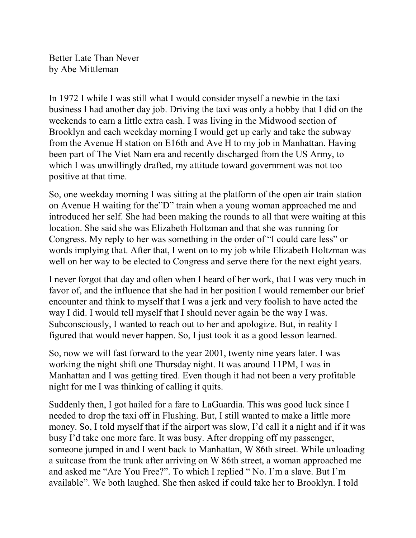Better Late Than Never by Abe Mittleman

In 1972 I while I was still what I would consider myself a newbie in the taxi business I had another day job. Driving the taxi was only a hobby that I did on the weekends to earn a little extra cash. I was living in the Midwood section of Brooklyn and each weekday morning I would get up early and take the subway from the Avenue H station on E16th and Ave H to my job in Manhattan. Having been part of The Viet Nam era and recently discharged from the US Army, to which I was unwillingly drafted, my attitude toward government was not too positive at that time.

So, one weekday morning I was sitting at the platform of the open air train station on Avenue H waiting for the"D" train when a young woman approached me and introduced her self. She had been making the rounds to all that were waiting at this location. She said she was Elizabeth Holtzman and that she was running for Congress. My reply to her was something in the order of "I could care less" or words implying that. After that, I went on to my job while Elizabeth Holtzman was well on her way to be elected to Congress and serve there for the next eight years.

I never forgot that day and often when I heard of her work, that I was very much in favor of, and the influence that she had in her position I would remember our brief encounter and think to myself that I was a jerk and very foolish to have acted the way I did. I would tell myself that I should never again be the way I was. Subconsciously, I wanted to reach out to her and apologize. But, in reality I figured that would never happen. So, I just took it as a good lesson learned.

So, now we will fast forward to the year 2001, twenty nine years later. I was working the night shift one Thursday night. It was around 11PM, I was in Manhattan and I was getting tired. Even though it had not been a very profitable night for me I was thinking of calling it quits.

Suddenly then, I got hailed for a fare to LaGuardia. This was good luck since I needed to drop the taxi off in Flushing. But, I still wanted to make a little more money. So, I told myself that if the airport was slow, I'd call it a night and if it was busy I'd take one more fare. It was busy. After dropping off my passenger, someone jumped in and I went back to Manhattan, W 86th street. While unloading a suitcase from the trunk after arriving on W 86th street, a woman approached me and asked me "Are You Free?". To which I replied " No. I'm a slave. But I'm available". We both laughed. She then asked if could take her to Brooklyn. I told